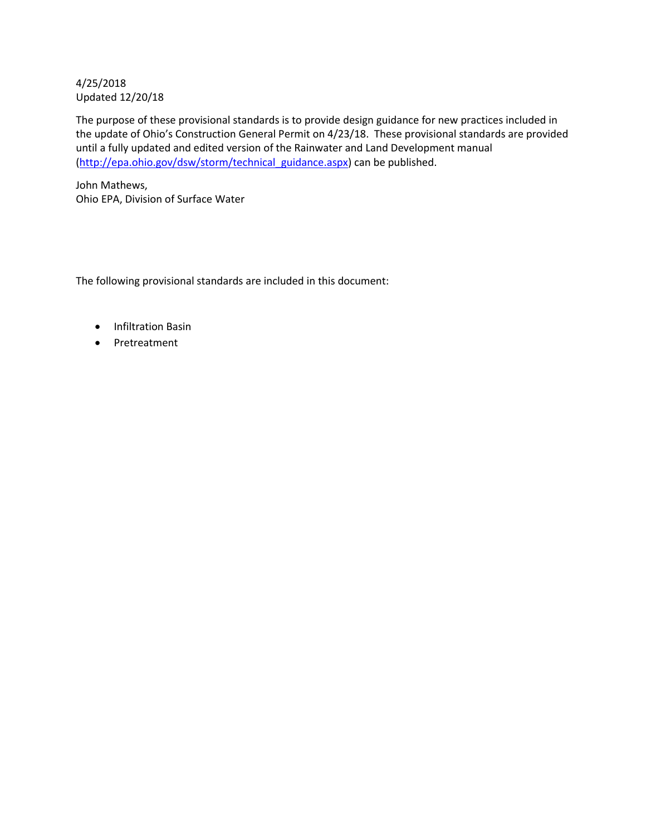# 4/25/2018 Updated 12/20/18

The purpose of these provisional standards is to provide design guidance for new practices included in the update of Ohio's Construction General Permit on 4/23/18. These provisional standards are provided until a fully updated and edited version of the Rainwater and Land Development manual [\(http://epa.ohio.gov/dsw/storm/technical\\_guidance.aspx\)](http://epa.ohio.gov/dsw/storm/technical_guidance.aspx) can be published.

John Mathews, Ohio EPA, Division of Surface Water

The following provisional standards are included in this document:

- Infiltration Basin
- Pretreatment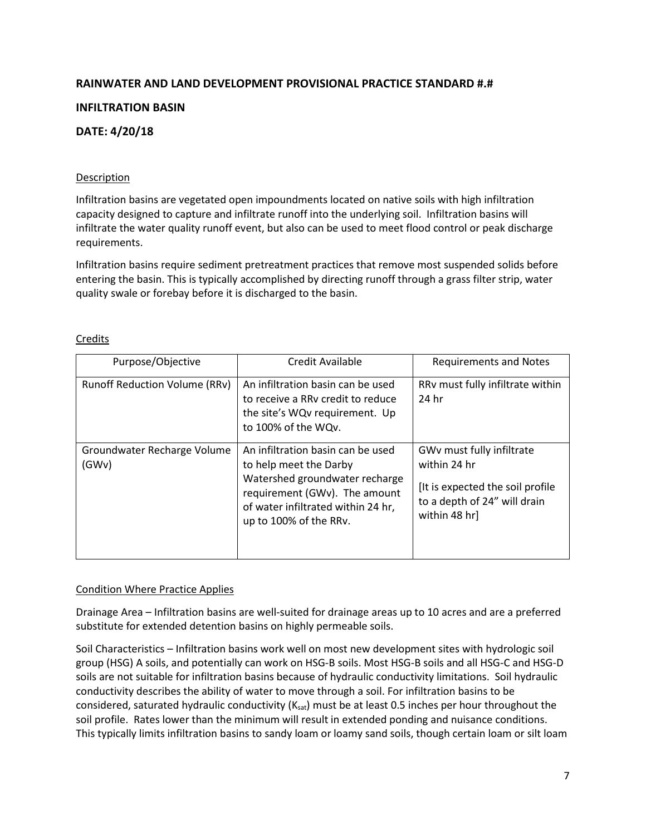# **RAINWATER AND LAND DEVELOPMENT PROVISIONAL PRACTICE STANDARD #.#**

# **INFILTRATION BASIN**

# **DATE: 4/20/18**

## **Description**

Infiltration basins are vegetated open impoundments located on native soils with high infiltration capacity designed to capture and infiltrate runoff into the underlying soil. Infiltration basins will infiltrate the water quality runoff event, but also can be used to meet flood control or peak discharge requirements.

Infiltration basins require sediment pretreatment practices that remove most suspended solids before entering the basin. This is typically accomplished by directing runoff through a grass filter strip, water quality swale or forebay before it is discharged to the basin.

| Purpose/Objective                    | Credit Available                                                                                                                                                                               | <b>Requirements and Notes</b>                                                                                                   |
|--------------------------------------|------------------------------------------------------------------------------------------------------------------------------------------------------------------------------------------------|---------------------------------------------------------------------------------------------------------------------------------|
| <b>Runoff Reduction Volume (RRv)</b> | An infiltration basin can be used<br>to receive a RRy credit to reduce<br>the site's WQv requirement. Up<br>to 100% of the WQv.                                                                | RRv must fully infiltrate within<br>24 hr                                                                                       |
| Groundwater Recharge Volume<br>(GWv) | An infiltration basin can be used<br>to help meet the Darby<br>Watershed groundwater recharge<br>requirement (GWv). The amount<br>of water infiltrated within 24 hr,<br>up to 100% of the RRv. | GWv must fully infiltrate<br>within 24 hr<br>[It is expected the soil profile]<br>to a depth of 24" will drain<br>within 48 hr] |

## **Credits**

## Condition Where Practice Applies

Drainage Area – Infiltration basins are well-suited for drainage areas up to 10 acres and are a preferred substitute for extended detention basins on highly permeable soils.

Soil Characteristics – Infiltration basins work well on most new development sites with hydrologic soil group (HSG) A soils, and potentially can work on HSG-B soils. Most HSG-B soils and all HSG-C and HSG-D soils are not suitable for infiltration basins because of hydraulic conductivity limitations. Soil hydraulic conductivity describes the ability of water to move through a soil. For infiltration basins to be considered, saturated hydraulic conductivity ( $K_{sat}$ ) must be at least 0.5 inches per hour throughout the soil profile. Rates lower than the minimum will result in extended ponding and nuisance conditions. This typically limits infiltration basins to sandy loam or loamy sand soils, though certain loam or silt loam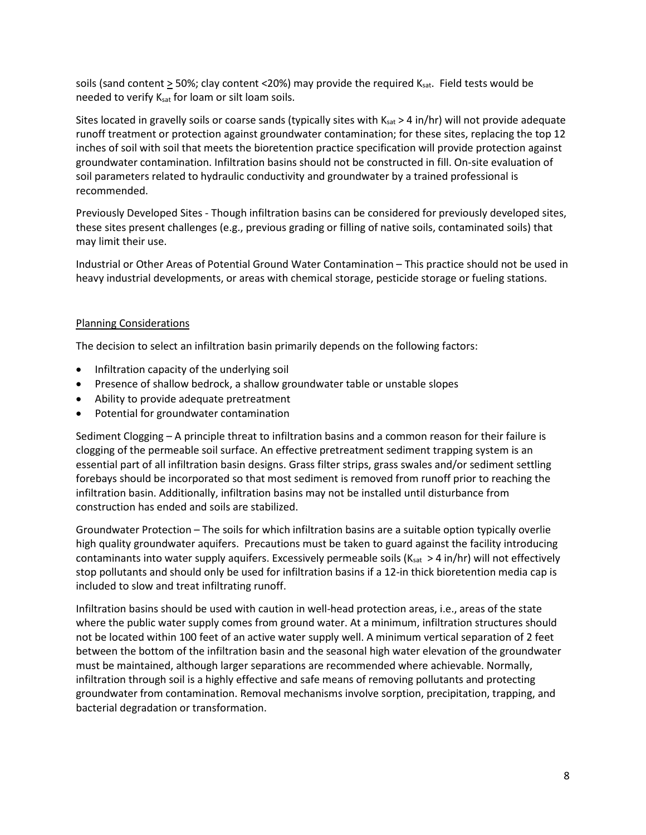soils (sand content  $\geq$  50%; clay content <20%) may provide the required K<sub>sat</sub>. Field tests would be needed to verify Ksat for loam or silt loam soils.

Sites located in gravelly soils or coarse sands (typically sites with  $K_{sat}$  > 4 in/hr) will not provide adequate runoff treatment or protection against groundwater contamination; for these sites, replacing the top 12 inches of soil with soil that meets the bioretention practice specification will provide protection against groundwater contamination. Infiltration basins should not be constructed in fill. On-site evaluation of soil parameters related to hydraulic conductivity and groundwater by a trained professional is recommended.

Previously Developed Sites - Though infiltration basins can be considered for previously developed sites, these sites present challenges (e.g., previous grading or filling of native soils, contaminated soils) that may limit their use.

Industrial or Other Areas of Potential Ground Water Contamination – This practice should not be used in heavy industrial developments, or areas with chemical storage, pesticide storage or fueling stations.

## Planning Considerations

The decision to select an infiltration basin primarily depends on the following factors:

- Infiltration capacity of the underlying soil
- Presence of shallow bedrock, a shallow groundwater table or unstable slopes
- Ability to provide adequate pretreatment
- Potential for groundwater contamination

Sediment Clogging – A principle threat to infiltration basins and a common reason for their failure is clogging of the permeable soil surface. An effective pretreatment sediment trapping system is an essential part of all infiltration basin designs. Grass filter strips, grass swales and/or sediment settling forebays should be incorporated so that most sediment is removed from runoff prior to reaching the infiltration basin. Additionally, infiltration basins may not be installed until disturbance from construction has ended and soils are stabilized.

Groundwater Protection – The soils for which infiltration basins are a suitable option typically overlie high quality groundwater aquifers. Precautions must be taken to guard against the facility introducing contaminants into water supply aquifers. Excessively permeable soils ( $K_{sat} > 4$  in/hr) will not effectively stop pollutants and should only be used for infiltration basins if a 12-in thick bioretention media cap is included to slow and treat infiltrating runoff.

Infiltration basins should be used with caution in well-head protection areas, i.e., areas of the state where the public water supply comes from ground water. At a minimum, infiltration structures should not be located within 100 feet of an active water supply well. A minimum vertical separation of 2 feet between the bottom of the infiltration basin and the seasonal high water elevation of the groundwater must be maintained, although larger separations are recommended where achievable. Normally, infiltration through soil is a highly effective and safe means of removing pollutants and protecting groundwater from contamination. Removal mechanisms involve sorption, precipitation, trapping, and bacterial degradation or transformation.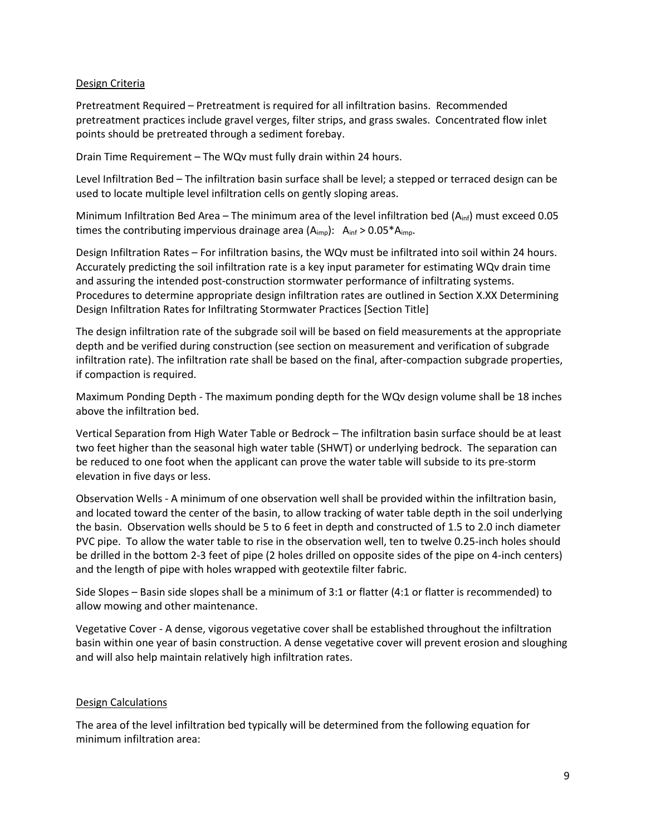## Design Criteria

Pretreatment Required – Pretreatment is required for all infiltration basins. Recommended pretreatment practices include gravel verges, filter strips, and grass swales. Concentrated flow inlet points should be pretreated through a sediment forebay.

Drain Time Requirement – The WQv must fully drain within 24 hours.

Level Infiltration Bed – The infiltration basin surface shall be level; a stepped or terraced design can be used to locate multiple level infiltration cells on gently sloping areas.

Minimum Infiltration Bed Area – The minimum area of the level infiltration bed (Ainf) must exceed 0.05 times the contributing impervious drainage area  $(A_{imp})$ :  $A_{inf} > 0.05 * A_{imp}$ .

Design Infiltration Rates – For infiltration basins, the WQv must be infiltrated into soil within 24 hours. Accurately predicting the soil infiltration rate is a key input parameter for estimating WQv drain time and assuring the intended post-construction stormwater performance of infiltrating systems. Procedures to determine appropriate design infiltration rates are outlined in Section X.XX Determining Design Infiltration Rates for Infiltrating Stormwater Practices [Section Title]

The design infiltration rate of the subgrade soil will be based on field measurements at the appropriate depth and be verified during construction (see section on measurement and verification of subgrade infiltration rate). The infiltration rate shall be based on the final, after-compaction subgrade properties, if compaction is required.

Maximum Ponding Depth - The maximum ponding depth for the WQv design volume shall be 18 inches above the infiltration bed.

Vertical Separation from High Water Table or Bedrock – The infiltration basin surface should be at least two feet higher than the seasonal high water table (SHWT) or underlying bedrock. The separation can be reduced to one foot when the applicant can prove the water table will subside to its pre-storm elevation in five days or less.

Observation Wells - A minimum of one observation well shall be provided within the infiltration basin, and located toward the center of the basin, to allow tracking of water table depth in the soil underlying the basin. Observation wells should be 5 to 6 feet in depth and constructed of 1.5 to 2.0 inch diameter PVC pipe. To allow the water table to rise in the observation well, ten to twelve 0.25-inch holes should be drilled in the bottom 2-3 feet of pipe (2 holes drilled on opposite sides of the pipe on 4-inch centers) and the length of pipe with holes wrapped with geotextile filter fabric.

Side Slopes – Basin side slopes shall be a minimum of 3:1 or flatter (4:1 or flatter is recommended) to allow mowing and other maintenance.

Vegetative Cover - A dense, vigorous vegetative cover shall be established throughout the infiltration basin within one year of basin construction. A dense vegetative cover will prevent erosion and sloughing and will also help maintain relatively high infiltration rates.

## Design Calculations

The area of the level infiltration bed typically will be determined from the following equation for minimum infiltration area: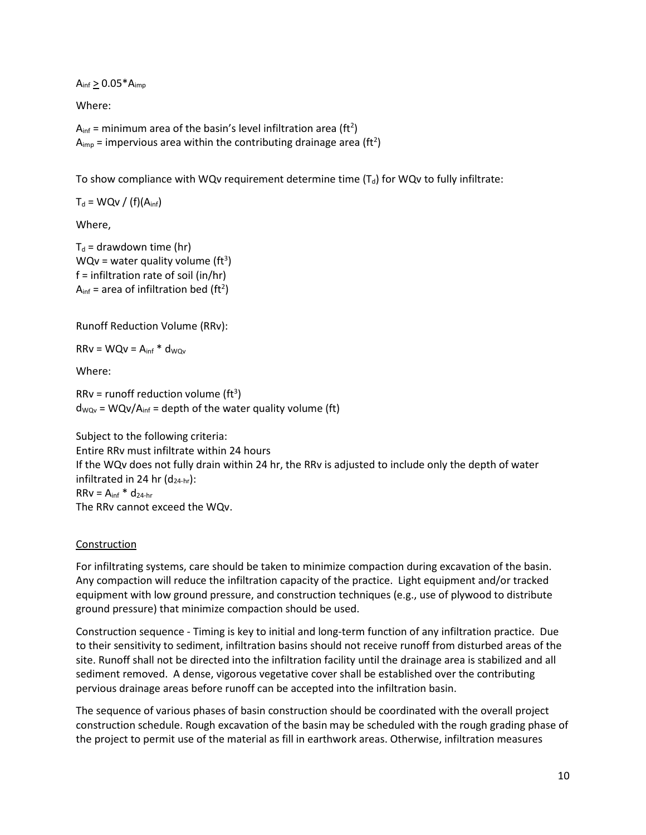$A_{inf} \geq 0.05^*A_{imp}$ 

Where:

 $A<sub>inf</sub>$  = minimum area of the basin's level infiltration area (ft<sup>2</sup>)  $A_{\text{imp}}$  = impervious area within the contributing drainage area (ft<sup>2</sup>)

To show compliance with WQv requirement determine time  $(T_d)$  for WQv to fully infiltrate:

 $T_d = WQv / (f)(A_{inf})$ 

Where,

 $T_d$  = drawdown time (hr)  $WQv = water$  quality volume (ft<sup>3</sup>)  $f =$  infiltration rate of soil (in/hr)  $A<sub>inf</sub>$  = area of infiltration bed (ft<sup>2</sup>)

Runoff Reduction Volume (RRv):

 $RRv = WQv = A_{inf} * d_{WQv}$ 

Where:

 $RRv = runoff reduction volume (ft<sup>3</sup>)$  $d_{WQv}$  = WQv/A<sub>inf</sub> = depth of the water quality volume (ft)

Subject to the following criteria: Entire RRv must infiltrate within 24 hours If the WQv does not fully drain within 24 hr, the RRv is adjusted to include only the depth of water infiltrated in 24 hr  $(d_{24-hr})$ :  $RRv = A_{inf} * d_{24-hr}$ The RRv cannot exceed the WQv.

#### Construction

For infiltrating systems, care should be taken to minimize compaction during excavation of the basin. Any compaction will reduce the infiltration capacity of the practice. Light equipment and/or tracked equipment with low ground pressure, and construction techniques (e.g., use of plywood to distribute ground pressure) that minimize compaction should be used.

Construction sequence - Timing is key to initial and long-term function of any infiltration practice. Due to their sensitivity to sediment, infiltration basins should not receive runoff from disturbed areas of the site. Runoff shall not be directed into the infiltration facility until the drainage area is stabilized and all sediment removed. A dense, vigorous vegetative cover shall be established over the contributing pervious drainage areas before runoff can be accepted into the infiltration basin.

The sequence of various phases of basin construction should be coordinated with the overall project construction schedule. Rough excavation of the basin may be scheduled with the rough grading phase of the project to permit use of the material as fill in earthwork areas. Otherwise, infiltration measures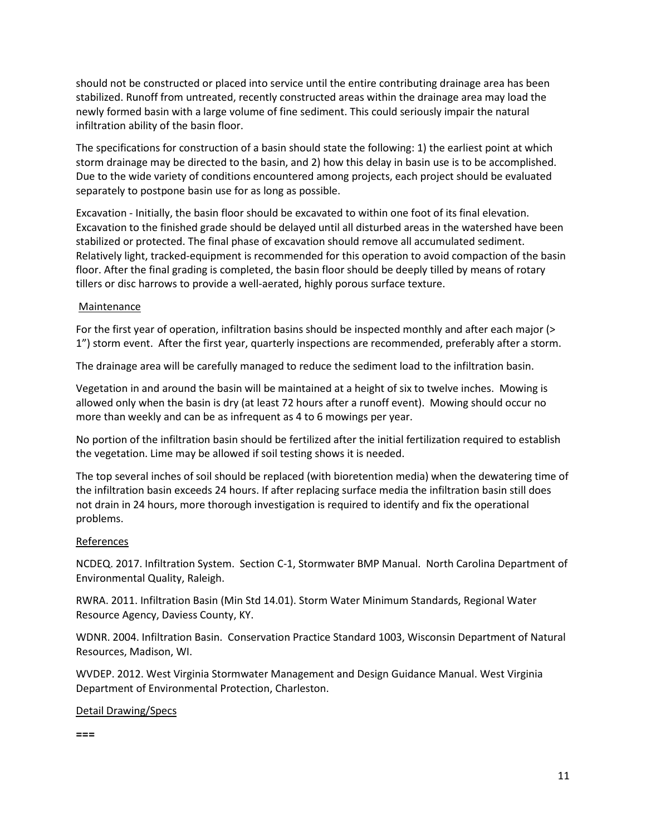should not be constructed or placed into service until the entire contributing drainage area has been stabilized. Runoff from untreated, recently constructed areas within the drainage area may load the newly formed basin with a large volume of fine sediment. This could seriously impair the natural infiltration ability of the basin floor.

The specifications for construction of a basin should state the following: 1) the earliest point at which storm drainage may be directed to the basin, and 2) how this delay in basin use is to be accomplished. Due to the wide variety of conditions encountered among projects, each project should be evaluated separately to postpone basin use for as long as possible.

Excavation - Initially, the basin floor should be excavated to within one foot of its final elevation. Excavation to the finished grade should be delayed until all disturbed areas in the watershed have been stabilized or protected. The final phase of excavation should remove all accumulated sediment. Relatively light, tracked-equipment is recommended for this operation to avoid compaction of the basin floor. After the final grading is completed, the basin floor should be deeply tilled by means of rotary tillers or disc harrows to provide a well-aerated, highly porous surface texture.

## **Maintenance**

For the first year of operation, infiltration basins should be inspected monthly and after each major (> 1") storm event. After the first year, quarterly inspections are recommended, preferably after a storm.

The drainage area will be carefully managed to reduce the sediment load to the infiltration basin.

Vegetation in and around the basin will be maintained at a height of six to twelve inches. Mowing is allowed only when the basin is dry (at least 72 hours after a runoff event). Mowing should occur no more than weekly and can be as infrequent as 4 to 6 mowings per year.

No portion of the infiltration basin should be fertilized after the initial fertilization required to establish the vegetation. Lime may be allowed if soil testing shows it is needed.

The top several inches of soil should be replaced (with bioretention media) when the dewatering time of the infiltration basin exceeds 24 hours. If after replacing surface media the infiltration basin still does not drain in 24 hours, more thorough investigation is required to identify and fix the operational problems.

## References

NCDEQ. 2017. Infiltration System. Section C-1, Stormwater BMP Manual. North Carolina Department of Environmental Quality, Raleigh.

RWRA. 2011. Infiltration Basin (Min Std 14.01). Storm Water Minimum Standards, Regional Water Resource Agency, Daviess County, KY.

WDNR. 2004. Infiltration Basin. Conservation Practice Standard 1003, Wisconsin Department of Natural Resources, Madison, WI.

WVDEP. 2012. West Virginia Stormwater Management and Design Guidance Manual. West Virginia Department of Environmental Protection, Charleston.

## Detail Drawing/Specs

**===**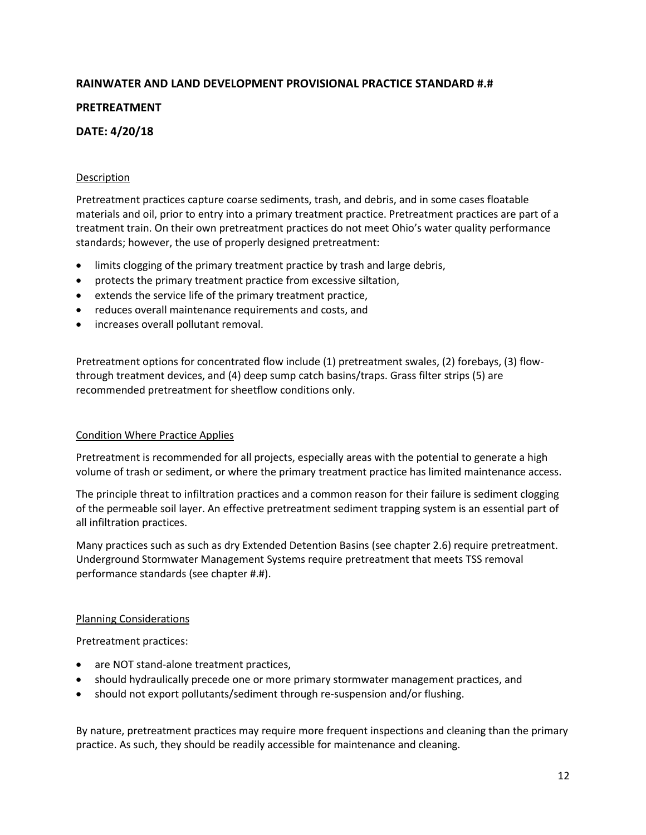# **RAINWATER AND LAND DEVELOPMENT PROVISIONAL PRACTICE STANDARD #.#**

# **PRETREATMENT**

# **DATE: 4/20/18**

## **Description**

Pretreatment practices capture coarse sediments, trash, and debris, and in some cases floatable materials and oil, prior to entry into a primary treatment practice. Pretreatment practices are part of a treatment train. On their own pretreatment practices do not meet Ohio's water quality performance standards; however, the use of properly designed pretreatment:

- limits clogging of the primary treatment practice by trash and large debris,
- protects the primary treatment practice from excessive siltation,
- extends the service life of the primary treatment practice,
- reduces overall maintenance requirements and costs, and
- increases overall pollutant removal.

Pretreatment options for concentrated flow include (1) pretreatment swales, (2) forebays, (3) flowthrough treatment devices, and (4) deep sump catch basins/traps. Grass filter strips (5) are recommended pretreatment for sheetflow conditions only.

## Condition Where Practice Applies

Pretreatment is recommended for all projects, especially areas with the potential to generate a high volume of trash or sediment, or where the primary treatment practice has limited maintenance access.

The principle threat to infiltration practices and a common reason for their failure is sediment clogging of the permeable soil layer. An effective pretreatment sediment trapping system is an essential part of all infiltration practices.

Many practices such as such as dry Extended Detention Basins (see chapter 2.6) require pretreatment. Underground Stormwater Management Systems require pretreatment that meets TSS removal performance standards (see chapter #.#).

## Planning Considerations

Pretreatment practices:

- are NOT stand-alone treatment practices,
- should hydraulically precede one or more primary stormwater management practices, and
- should not export pollutants/sediment through re-suspension and/or flushing.

By nature, pretreatment practices may require more frequent inspections and cleaning than the primary practice. As such, they should be readily accessible for maintenance and cleaning.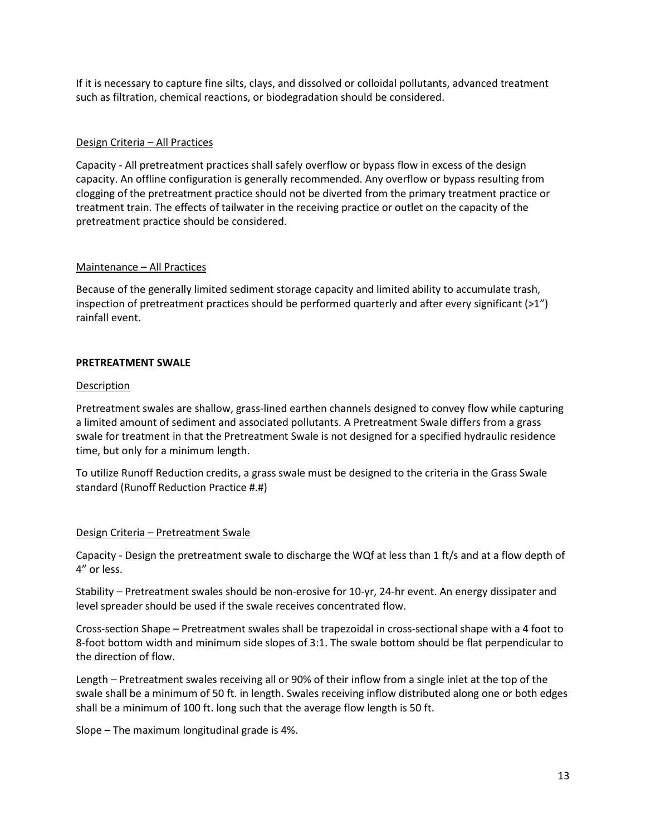If it is necessary to capture fine silts, clays, and dissolved or colloidal pollutants, advanced treatment such as filtration, chemical reactions, or biodegradation should be considered.

## Design Criteria – All Practices

Capacity - All pretreatment practices shall safely overflow or bypass flow in excess of the design capacity. An offline configuration is generally recommended. Any overflow or bypass resulting from clogging of the pretreatment practice should not be diverted from the primary treatment practice or treatment train. The effects of tailwater in the receiving practice or outlet on the capacity of the pretreatment practice should be considered.

## Maintenance – All Practices

Because of the generally limited sediment storage capacity and limited ability to accumulate trash, inspection of pretreatment practices should be performed quarterly and after every significant  $(>1")$ rainfall event.

#### **PRETREATMENT SWALE**

#### Description

Pretreatment swales are shallow, grass-lined earthen channels designed to convey flow while capturing a limited amount of sediment and associated pollutants. A Pretreatment Swale differs from a grass swale for treatment in that the Pretreatment Swale is not designed for a specified hydraulic residence time, but only for a minimum length.

To utilize Runoff Reduction credits, a grass swale must be designed to the criteria in the Grass Swale standard (Runoff Reduction Practice #.#)

## Design Criteria – Pretreatment Swale

Capacity - Design the pretreatment swale to discharge the WQf at less than 1 ft/s and at a flow depth of 4" or less.

Stability – Pretreatment swales should be non-erosive for 10-yr, 24-hr event. An energy dissipater and level spreader should be used if the swale receives concentrated flow.

Cross-section Shape – Pretreatment swales shall be trapezoidal in cross-sectional shape with a 4 foot to 8-foot bottom width and minimum side slopes of 3:1. The swale bottom should be flat perpendicular to the direction of flow.

Length – Pretreatment swales receiving all or 90% of their inflow from a single inlet at the top of the swale shall be a minimum of 50 ft. in length. Swales receiving inflow distributed along one or both edges shall be a minimum of 100 ft. long such that the average flow length is 50 ft.

Slope – The maximum longitudinal grade is 4%.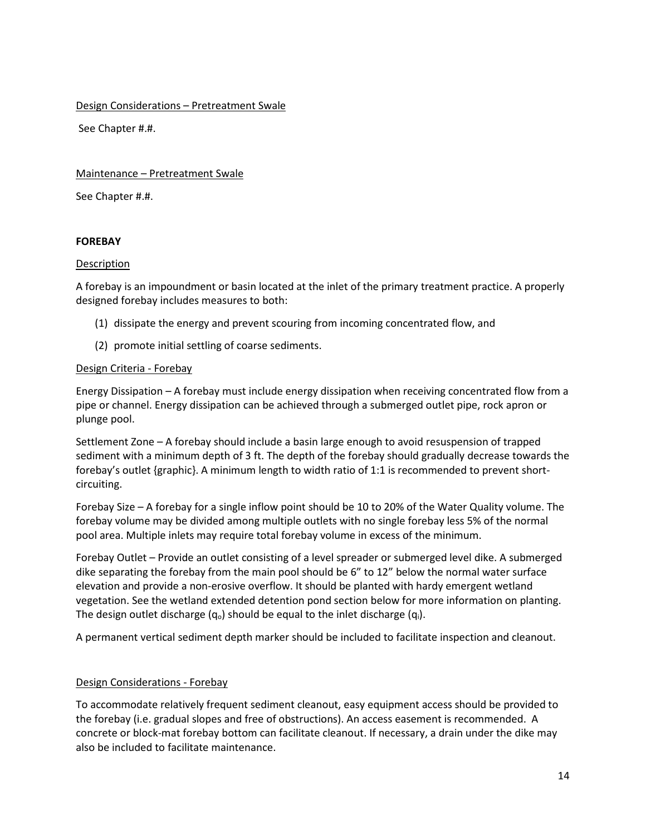Design Considerations – Pretreatment Swale

See Chapter #.#.

Maintenance – Pretreatment Swale

See Chapter #.#.

#### **FOREBAY**

#### Description

A forebay is an impoundment or basin located at the inlet of the primary treatment practice. A properly designed forebay includes measures to both:

- (1) dissipate the energy and prevent scouring from incoming concentrated flow, and
- (2) promote initial settling of coarse sediments.

## Design Criteria - Forebay

Energy Dissipation – A forebay must include energy dissipation when receiving concentrated flow from a pipe or channel. Energy dissipation can be achieved through a submerged outlet pipe, rock apron or plunge pool.

Settlement Zone – A forebay should include a basin large enough to avoid resuspension of trapped sediment with a minimum depth of 3 ft. The depth of the forebay should gradually decrease towards the forebay's outlet {graphic}. A minimum length to width ratio of 1:1 is recommended to prevent shortcircuiting.

Forebay Size – A forebay for a single inflow point should be 10 to 20% of the Water Quality volume. The forebay volume may be divided among multiple outlets with no single forebay less 5% of the normal pool area. Multiple inlets may require total forebay volume in excess of the minimum.

Forebay Outlet – Provide an outlet consisting of a level spreader or submerged level dike. A submerged dike separating the forebay from the main pool should be 6" to 12" below the normal water surface elevation and provide a non-erosive overflow. It should be planted with hardy emergent wetland vegetation. See the wetland extended detention pond section below for more information on planting. The design outlet discharge  $(q_0)$  should be equal to the inlet discharge  $(q_i)$ .

A permanent vertical sediment depth marker should be included to facilitate inspection and cleanout.

## Design Considerations - Forebay

To accommodate relatively frequent sediment cleanout, easy equipment access should be provided to the forebay (i.e. gradual slopes and free of obstructions). An access easement is recommended. A concrete or block-mat forebay bottom can facilitate cleanout. If necessary, a drain under the dike may also be included to facilitate maintenance.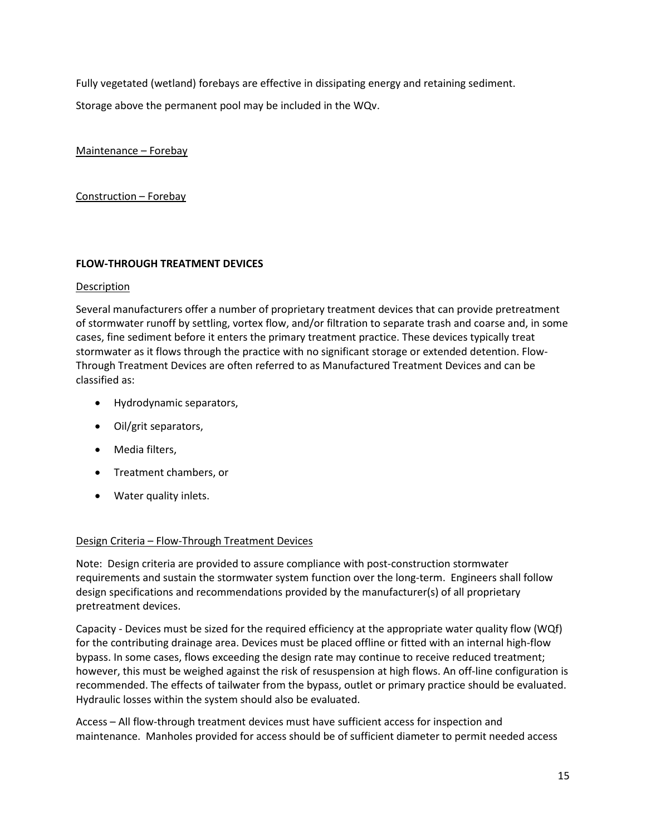Fully vegetated (wetland) forebays are effective in dissipating energy and retaining sediment.

Storage above the permanent pool may be included in the WQv.

Maintenance – Forebay

Construction – Forebay

## **FLOW-THROUGH TREATMENT DEVICES**

## Description

Several manufacturers offer a number of proprietary treatment devices that can provide pretreatment of stormwater runoff by settling, vortex flow, and/or filtration to separate trash and coarse and, in some cases, fine sediment before it enters the primary treatment practice. These devices typically treat stormwater as it flows through the practice with no significant storage or extended detention. Flow-Through Treatment Devices are often referred to as Manufactured Treatment Devices and can be classified as:

- Hydrodynamic separators,
- Oil/grit separators,
- Media filters,
- Treatment chambers, or
- Water quality inlets.

# Design Criteria – Flow-Through Treatment Devices

Note: Design criteria are provided to assure compliance with post-construction stormwater requirements and sustain the stormwater system function over the long-term. Engineers shall follow design specifications and recommendations provided by the manufacturer(s) of all proprietary pretreatment devices.

Capacity - Devices must be sized for the required efficiency at the appropriate water quality flow (WQf) for the contributing drainage area. Devices must be placed offline or fitted with an internal high-flow bypass. In some cases, flows exceeding the design rate may continue to receive reduced treatment; however, this must be weighed against the risk of resuspension at high flows. An off-line configuration is recommended. The effects of tailwater from the bypass, outlet or primary practice should be evaluated. Hydraulic losses within the system should also be evaluated.

Access – All flow-through treatment devices must have sufficient access for inspection and maintenance. Manholes provided for access should be of sufficient diameter to permit needed access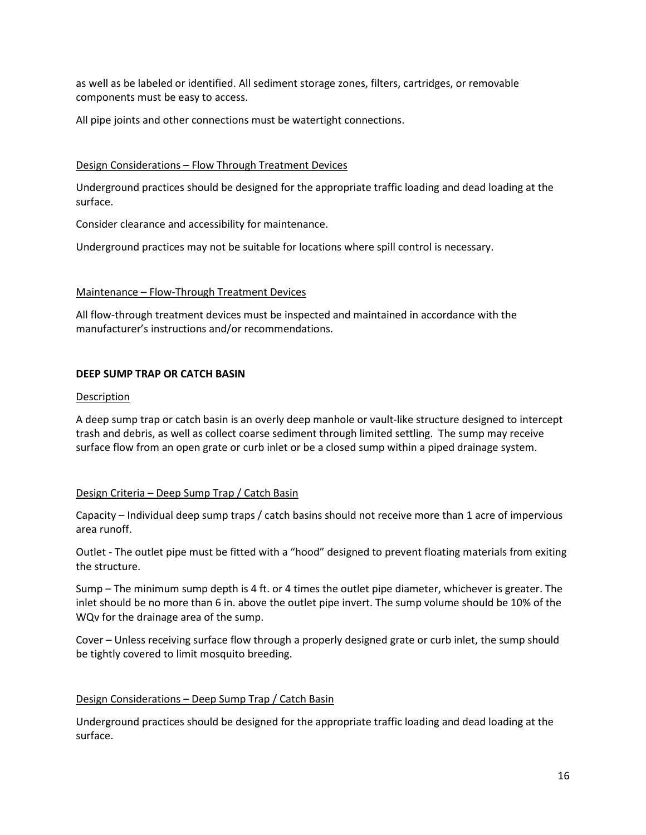as well as be labeled or identified. All sediment storage zones, filters, cartridges, or removable components must be easy to access.

All pipe joints and other connections must be watertight connections.

## Design Considerations – Flow Through Treatment Devices

Underground practices should be designed for the appropriate traffic loading and dead loading at the surface.

Consider clearance and accessibility for maintenance.

Underground practices may not be suitable for locations where spill control is necessary.

## Maintenance – Flow-Through Treatment Devices

All flow-through treatment devices must be inspected and maintained in accordance with the manufacturer's instructions and/or recommendations.

## **DEEP SUMP TRAP OR CATCH BASIN**

#### Description

A deep sump trap or catch basin is an overly deep manhole or vault-like structure designed to intercept trash and debris, as well as collect coarse sediment through limited settling. The sump may receive surface flow from an open grate or curb inlet or be a closed sump within a piped drainage system.

# Design Criteria – Deep Sump Trap / Catch Basin

Capacity – Individual deep sump traps / catch basins should not receive more than 1 acre of impervious area runoff.

Outlet - The outlet pipe must be fitted with a "hood" designed to prevent floating materials from exiting the structure.

Sump – The minimum sump depth is 4 ft. or 4 times the outlet pipe diameter, whichever is greater. The inlet should be no more than 6 in. above the outlet pipe invert. The sump volume should be 10% of the WQv for the drainage area of the sump.

Cover – Unless receiving surface flow through a properly designed grate or curb inlet, the sump should be tightly covered to limit mosquito breeding.

# Design Considerations – Deep Sump Trap / Catch Basin

Underground practices should be designed for the appropriate traffic loading and dead loading at the surface.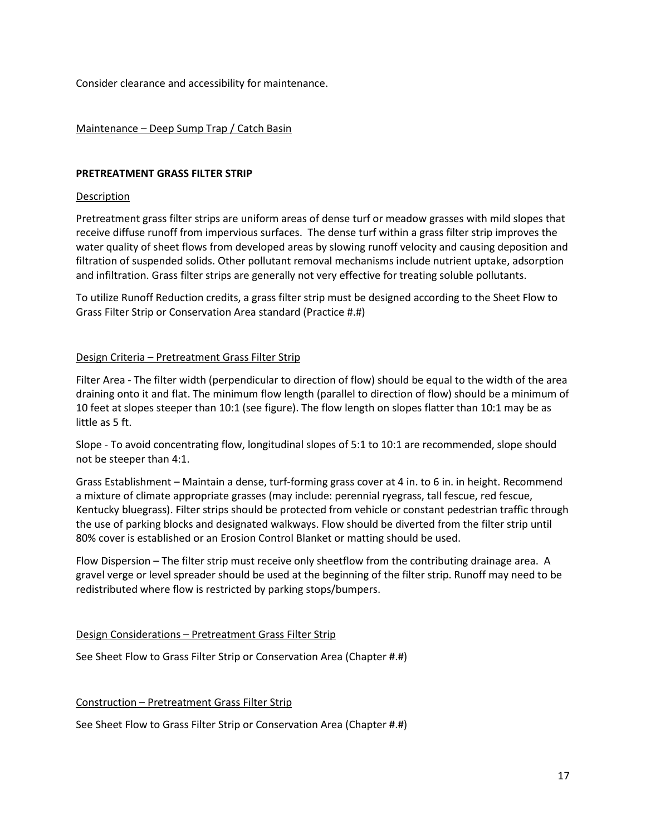Consider clearance and accessibility for maintenance.

## Maintenance – Deep Sump Trap / Catch Basin

#### **PRETREATMENT GRASS FILTER STRIP**

#### Description

Pretreatment grass filter strips are uniform areas of dense turf or meadow grasses with mild slopes that receive diffuse runoff from impervious surfaces. The dense turf within a grass filter strip improves the water quality of sheet flows from developed areas by slowing runoff velocity and causing deposition and filtration of suspended solids. Other pollutant removal mechanisms include nutrient uptake, adsorption and infiltration. Grass filter strips are generally not very effective for treating soluble pollutants.

To utilize Runoff Reduction credits, a grass filter strip must be designed according to the Sheet Flow to Grass Filter Strip or Conservation Area standard (Practice #.#)

#### Design Criteria – Pretreatment Grass Filter Strip

Filter Area - The filter width (perpendicular to direction of flow) should be equal to the width of the area draining onto it and flat. The minimum flow length (parallel to direction of flow) should be a minimum of 10 feet at slopes steeper than 10:1 (see figure). The flow length on slopes flatter than 10:1 may be as little as 5 ft.

Slope - To avoid concentrating flow, longitudinal slopes of 5:1 to 10:1 are recommended, slope should not be steeper than 4:1.

Grass Establishment – Maintain a dense, turf-forming grass cover at 4 in. to 6 in. in height. Recommend a mixture of climate appropriate grasses (may include: perennial ryegrass, tall fescue, red fescue, Kentucky bluegrass). Filter strips should be protected from vehicle or constant pedestrian traffic through the use of parking blocks and designated walkways. Flow should be diverted from the filter strip until 80% cover is established or an Erosion Control Blanket or matting should be used.

Flow Dispersion – The filter strip must receive only sheetflow from the contributing drainage area. A gravel verge or level spreader should be used at the beginning of the filter strip. Runoff may need to be redistributed where flow is restricted by parking stops/bumpers.

#### Design Considerations – Pretreatment Grass Filter Strip

See Sheet Flow to Grass Filter Strip or Conservation Area (Chapter #.#)

#### Construction – Pretreatment Grass Filter Strip

See Sheet Flow to Grass Filter Strip or Conservation Area (Chapter #.#)